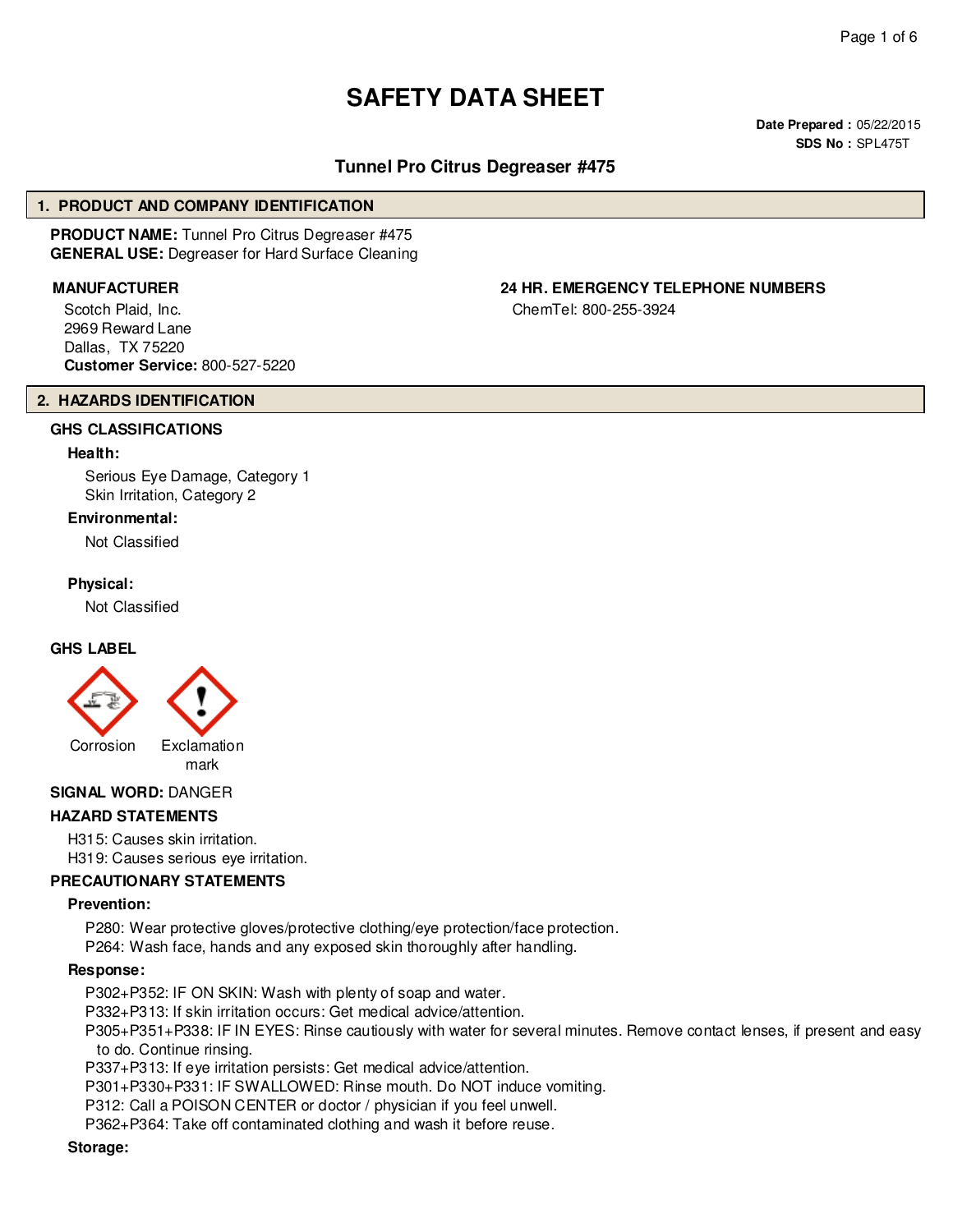# **SAFETY DATA SHEET**

**Date Prepared :** 05/22/2015 **SDS No :** SPL475T

# **Tunnel Pro Citrus Degreaser #475**

#### **1. PRODUCT AND COMPANY IDENTIFICATION**

**PRODUCT NAME:** Tunnel Pro Citrus Degreaser #475 **GENERAL USE:** Degreaser for Hard Surface Cleaning

Scotch Plaid, Inc. 2969 Reward Lane Dallas, TX 75220 **Customer Service:** 800-527-5220

# **2. HAZARDS IDENTIFICATION**

# **GHS CLASSIFICATIONS**

#### **Health:**

Serious Eye Damage, Category 1 Skin Irritation, Category 2

#### **Environmental:**

Not Classified

#### **Physical:**

Not Classified

#### **GHS LABEL**



# **SIGNAL WORD:** DANGER

#### **HAZARD STATEMENTS**

H315: Causes skin irritation. H319: Causes serious eye irritation.

#### **PRECAUTIONARY STATEMENTS**

#### **Prevention:**

P280: Wear protective gloves/protective clothing/eye protection/face protection.

P264: Wash face, hands and any exposed skin thoroughly after handling.

#### **Response:**

P302+P352: IF ON SKIN: Wash with plenty of soap and water.

P332+P313: If skin irritation occurs: Get medical advice/attention.

P305+P351+P338: IF IN EYES: Rinse cautiously with water for several minutes. Remove contact lenses, if present and easy to do. Continue rinsing.

P337+P313: If eye irritation persists: Get medical advice/attention.

P301+P330+P331: IF SWALLOWED: Rinse mouth. Do NOT induce vomiting.

P312: Call a POISON CENTER or doctor / physician if you feel unwell.

P362+P364: Take off contaminated clothing and wash it before reuse.

#### **Storage:**

**MANUFACTURER 24 HR. EMERGENCY TELEPHONE NUMBERS**

ChemTel: 800-255-3924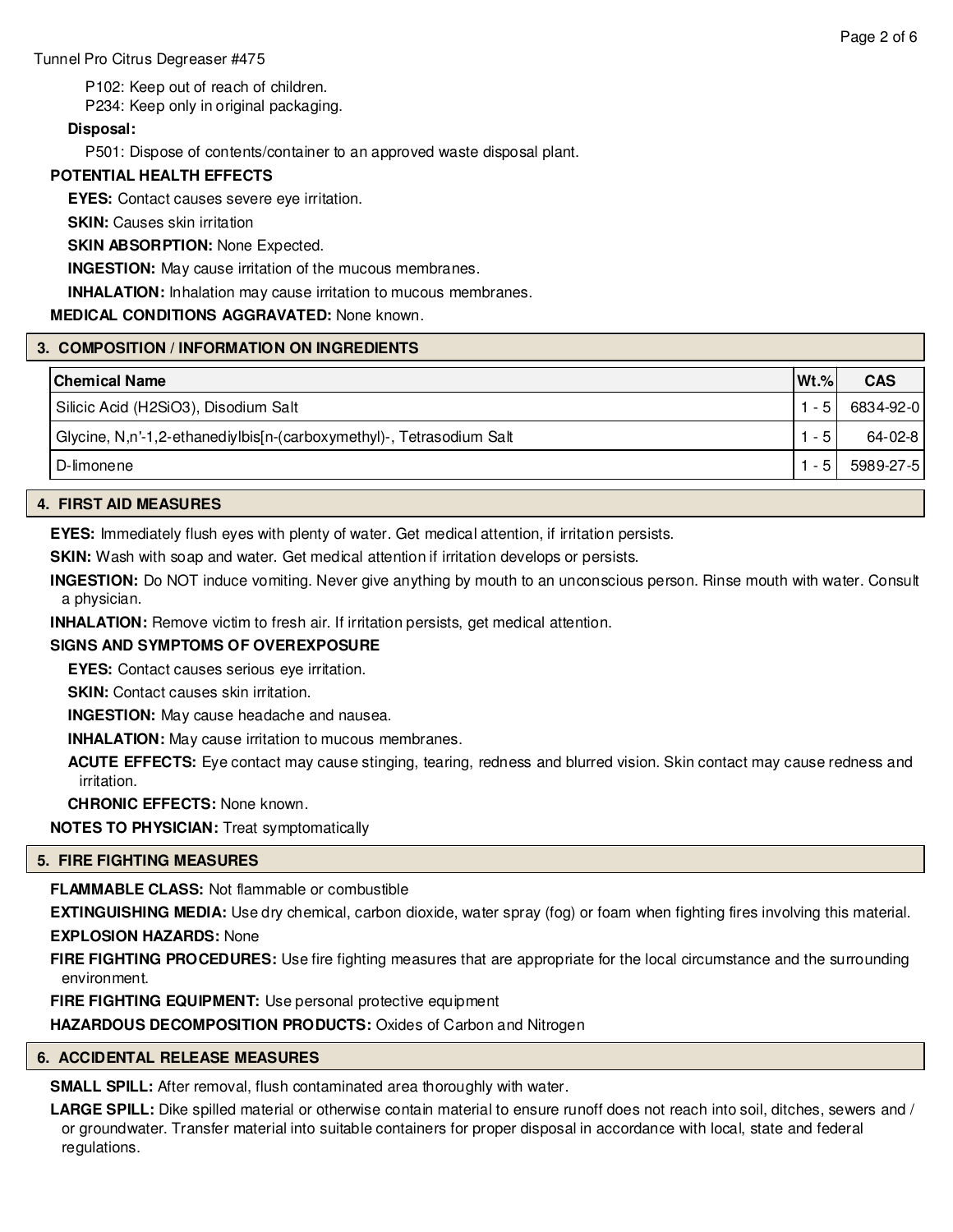P102: Keep out of reach of children.

P234: Keep only in original packaging.

# **Disposal:**

P501: Dispose of contents/container to an approved waste disposal plant.

# **POTENTIAL HEALTH EFFECTS**

**EYES:** Contact causes severe eye irritation.

**SKIN:** Causes skin irritation

# **SKIN ABSORPTION: None Expected.**

**INGESTION:** May cause irritation of the mucous membranes.

**INHALATION:** Inhalation may cause irritation to mucous membranes.

# **MEDICAL CONDITIONS AGGRAVATED:** None known.

# **3. COMPOSITION / INFORMATION ON INGREDIENTS**

| <b>Chemical Name</b>                                                 | $Wt.\%$ | <b>CAS</b> |
|----------------------------------------------------------------------|---------|------------|
| Silicic Acid (H2SiO3), Disodium Salt                                 | $-5$    | 6834-92-0  |
| Glycine, N,n'-1,2-ethanediylbis[n-(carboxymethyl)-, Tetrasodium Salt | - 5     | 64-02-8    |
| ∣ D-limonene                                                         | $-5$    | 5989-27-5  |

# **4. FIRST AID MEASURES**

**EYES:** Immediately flush eyes with plenty of water. Get medical attention, if irritation persists.

**SKIN:** Wash with soap and water. Get medical attention if irritation develops or persists.

**INGESTION:** Do NOT induce vomiting. Never give anything by mouth to an unconscious person. Rinse mouth with water. Consult a physician.

**INHALATION:** Remove victim to fresh air. If irritation persists, get medical attention.

# **SIGNS AND SYMPTOMS OF OVEREXPOSURE**

**EYES:** Contact causes serious eye irritation.

**SKIN:** Contact causes skin irritation.

**INGESTION:** May cause headache and nausea.

**INHALATION:** May cause irritation to mucous membranes.

**ACUTE EFFECTS:** Eye contact may cause stinging, tearing, redness and blurred vision. Skin contact may cause redness and irritation.

**CHRONIC EFFECTS:** None known.

**NOTES TO PHYSICIAN:** Treat symptomatically

#### **5. FIRE FIGHTING MEASURES**

**FLAMMABLE CLASS:** Not flammable or combustible

**EXTINGUISHING MEDIA:** Use dry chemical, carbon dioxide, water spray (fog) or foam when fighting fires involving this material. **EXPLOSION HAZARDS:** None

**FIRE FIGHTING PROCEDURES:** Use fire fighting measures that are appropriate for the local circumstance and the surrounding environment.

**FIRE FIGHTING EQUIPMENT:** Use personal protective equipment

**HAZARDOUS DECOMPOSITION PRODUCTS:** Oxides of Carbon and Nitrogen

# **6. ACCIDENTAL RELEASE MEASURES**

**SMALL SPILL:** After removal, flush contaminated area thoroughly with water.

LARGE SPILL: Dike spilled material or otherwise contain material to ensure runoff does not reach into soil, ditches, sewers and / or groundwater. Transfer material into suitable containers for proper disposal in accordance with local, state and federal regulations.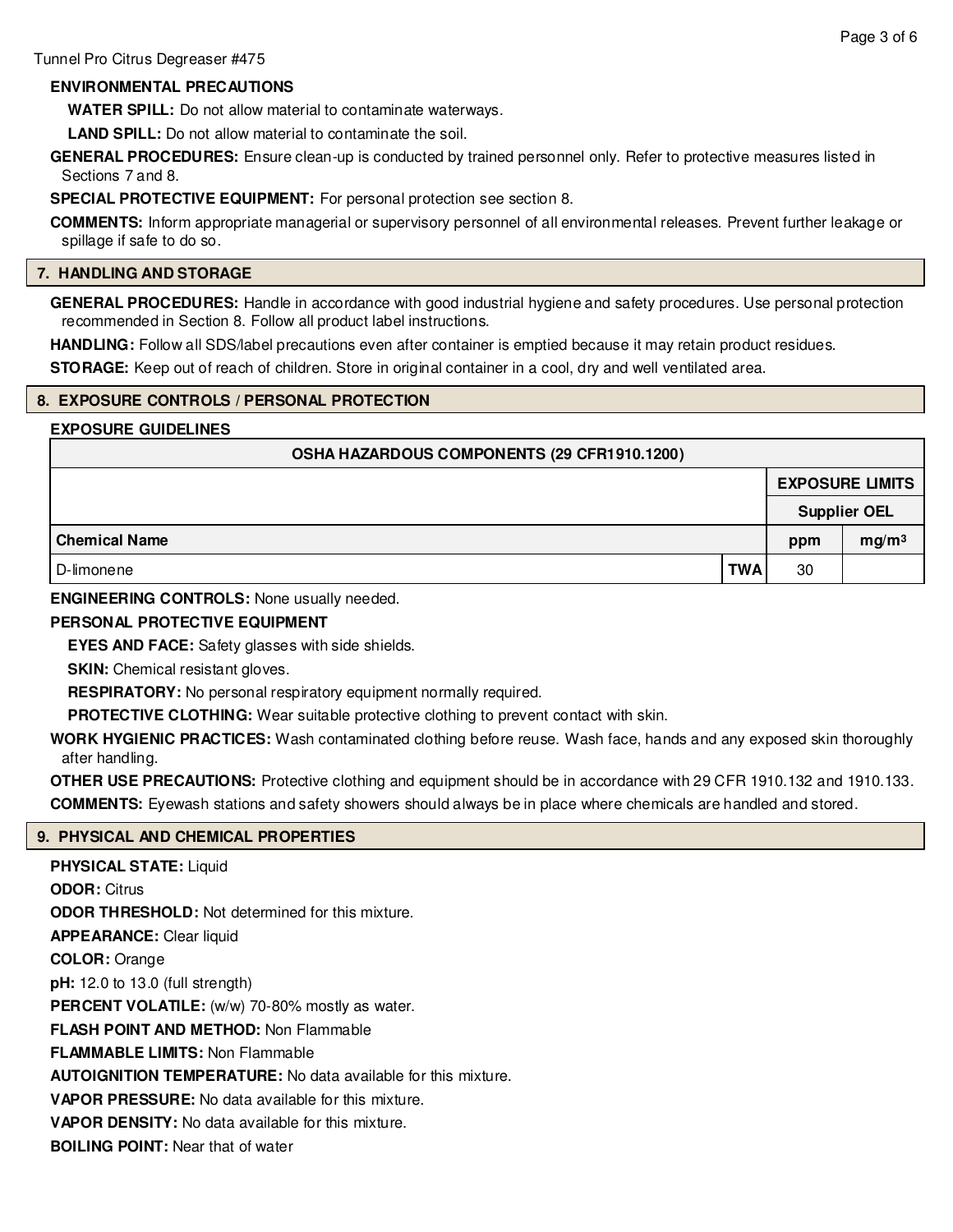# **ENVIRONMENTAL PRECAUTIONS**

**WATER SPILL:** Do not allow material to contaminate waterways.

**LAND SPILL:** Do not allow material to contaminate the soil.

**GENERAL PROCEDURES:** Ensure clean-up is conducted by trained personnel only. Refer to protective measures listed in Sections 7 and 8.

**SPECIAL PROTECTIVE EQUIPMENT:** For personal protection see section 8.

**COMMENTS:** Inform appropriate managerial or supervisory personnel of all environmental releases. Prevent further leakage or spillage if safe to do so.

### **7. HANDLING AND STORAGE**

**GENERAL PROCEDURES:** Handle in accordance with good industrial hygiene and safety procedures. Use personal protection recommended in Section 8. Follow all product label instructions.

**HANDLING:** Follow all SDS/label precautions even after container is emptied because it may retain product residues.

**STORAGE:** Keep out of reach of children. Store in original container in a cool, dry and well ventilated area.

# **8. EXPOSURE CONTROLS / PERSONAL PROTECTION**

# **EXPOSURE GUIDELINES**

| OSHA HAZARDOUS COMPONENTS (29 CFR1910.1200) |            |     |                        |  |  |
|---------------------------------------------|------------|-----|------------------------|--|--|
|                                             |            |     | <b>EXPOSURE LIMITS</b> |  |  |
|                                             |            |     | <b>Supplier OEL</b>    |  |  |
| <b>Chemical Name</b>                        |            | ppm | mg/m <sup>3</sup>      |  |  |
| D-limonene                                  | <b>TWA</b> | 30  |                        |  |  |

# **ENGINEERING CONTROLS:** None usually needed.

# **PERSONAL PROTECTIVE EQUIPMENT**

**EYES AND FACE:** Safety glasses with side shields.

**SKIN:** Chemical resistant gloves.

**RESPIRATORY:** No personal respiratory equipment normally required.

**PROTECTIVE CLOTHING:** Wear suitable protective clothing to prevent contact with skin.

**WORK HYGIENIC PRACTICES:** Wash contaminated clothing before reuse. Wash face, hands and any exposed skin thoroughly after handling.

**OTHER USE PRECAUTIONS:** Protective clothing and equipment should be in accordance with 29 CFR 1910.132 and 1910.133. **COMMENTS:** Eyewash stations and safety showers should always be in place where chemicals are handled and stored.

# **9. PHYSICAL AND CHEMICAL PROPERTIES**

**PHYSICAL STATE:** Liquid **ODOR:** Citrus **ODOR THRESHOLD:** Not determined for this mixture. **APPEARANCE:** Clear liquid **COLOR:** Orange **pH:** 12.0 to 13.0 (full strength) **PERCENT VOLATILE:** (w/w) 70-80% mostly as water. **FLASH POINT AND METHOD:** Non Flammable **FLAMMABLE LIMITS:** Non Flammable **AUTOIGNITION TEMPERATURE:** No data available for this mixture. **VAPOR PRESSURE:** No data available for this mixture. **VAPOR DENSITY:** No data available for this mixture. **BOILING POINT:** Near that of water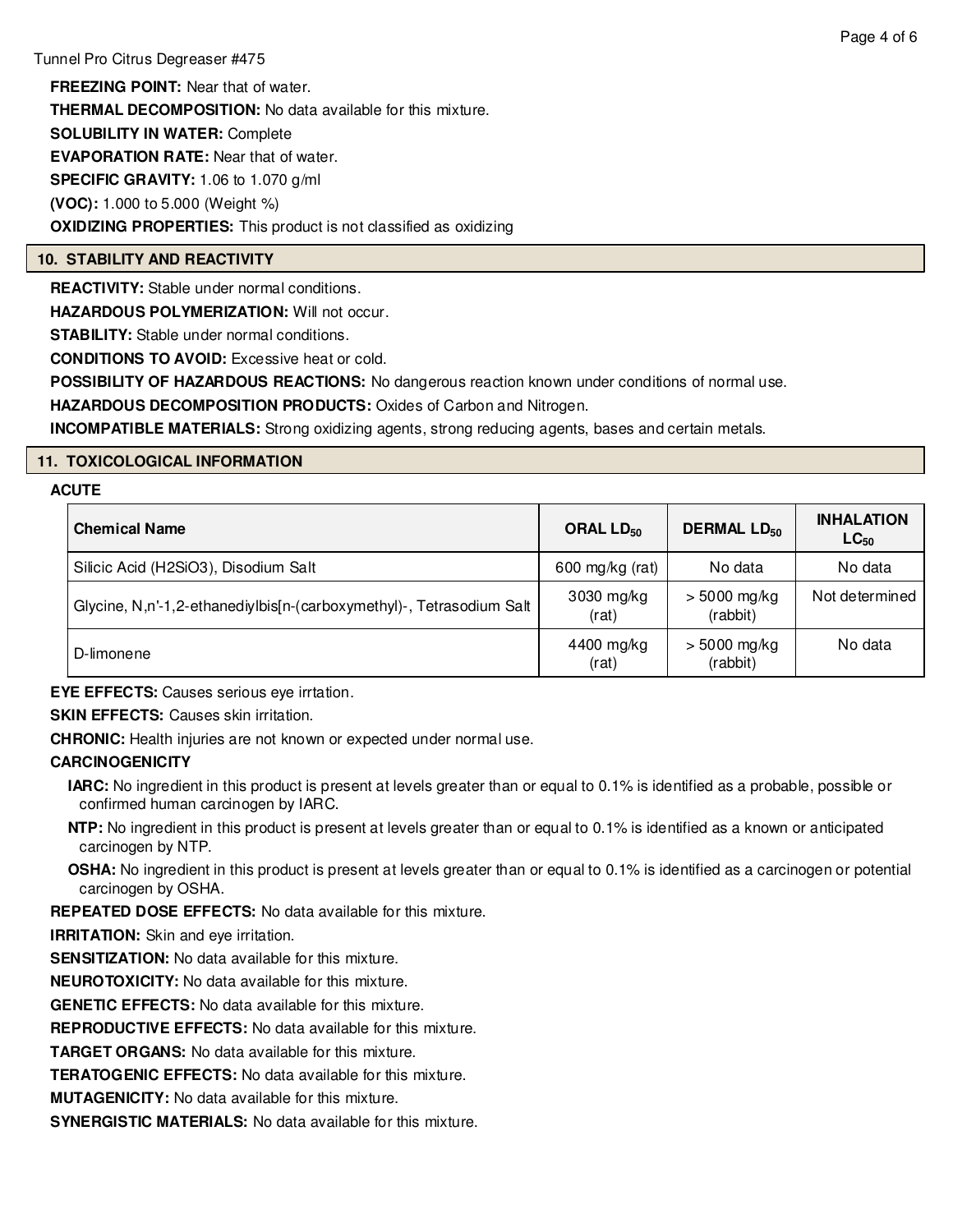**FREEZING POINT:** Near that of water. **THERMAL DECOMPOSITION:** No data available for this mixture. **SOLUBILITY IN WATER:** Complete **EVAPORATION RATE:** Near that of water. **SPECIFIC GRAVITY:** 1.06 to 1.070 g/ml **(VOC):** 1.000 to 5.000 (Weight %) **OXIDIZING PROPERTIES:** This product is not classified as oxidizing

#### **10. STABILITY AND REACTIVITY**

**REACTIVITY:** Stable under normal conditions.

**HAZARDOUS POLYMERIZATION:** Will not occur.

**STABILITY:** Stable under normal conditions.

**CONDITIONS TO AVOID:** Excessive heat or cold.

**POSSIBILITY OF HAZARDOUS REACTIONS:** No dangerous reaction known under conditions of normal use.

**HAZARDOUS DECOMPOSITION PRODUCTS:** Oxides of Carbon and Nitrogen.

**INCOMPATIBLE MATERIALS:** Strong oxidizing agents, strong reducing agents, bases and certain metals.

# **11. TOXICOLOGICAL INFORMATION**

#### **ACUTE**

| <b>Chemical Name</b>                                                 | ORAL $LD_{50}$      | <b>DERMAL LD<sub>50</sub></b> | <b>INHALATION</b><br>$LC_{50}$ |
|----------------------------------------------------------------------|---------------------|-------------------------------|--------------------------------|
| Silicic Acid (H2SiO3), Disodium Salt                                 | 600 mg/kg (rat)     | No data                       | No data                        |
| Glycine, N,n'-1,2-ethanediylbis[n-(carboxymethyl)-, Tetrasodium Salt | 3030 mg/kg<br>(rat) | $> 5000$ mg/kg<br>(rabbit)    | Not determined                 |
| D-limonene                                                           | 4400 mg/kg<br>(rat) | $> 5000$ mg/kg<br>(rabbit)    | No data                        |

**EYE EFFECTS:** Causes serious eye irrtation.

**SKIN EFFECTS:** Causes skin irritation.

**CHRONIC:** Health injuries are not known or expected under normal use.

#### **CARCINOGENICITY**

- **IARC:** No ingredient in this product is present at levels greater than or equal to 0.1% is identified as a probable, possible or confirmed human carcinogen by IARC.
- **NTP:** No ingredient in this product is present at levels greater than or equal to 0.1% is identified as a known or anticipated carcinogen by NTP.
- **OSHA:** No ingredient in this product is present at levels greater than or equal to 0.1% is identified as a carcinogen or potential carcinogen by OSHA.

**REPEATED DOSE EFFECTS:** No data available for this mixture.

**IRRITATION:** Skin and eve irritation.

**SENSITIZATION:** No data available for this mixture.

**NEUROTOXICITY:** No data available for this mixture.

**GENETIC EFFECTS:** No data available for this mixture.

**REPRODUCTIVE EFFECTS:** No data available for this mixture.

**TARGET ORGANS:** No data available for this mixture.

**TERATOGENIC EFFECTS:** No data available for this mixture.

**MUTAGENICITY:** No data available for this mixture.

**SYNERGISTIC MATERIALS:** No data available for this mixture.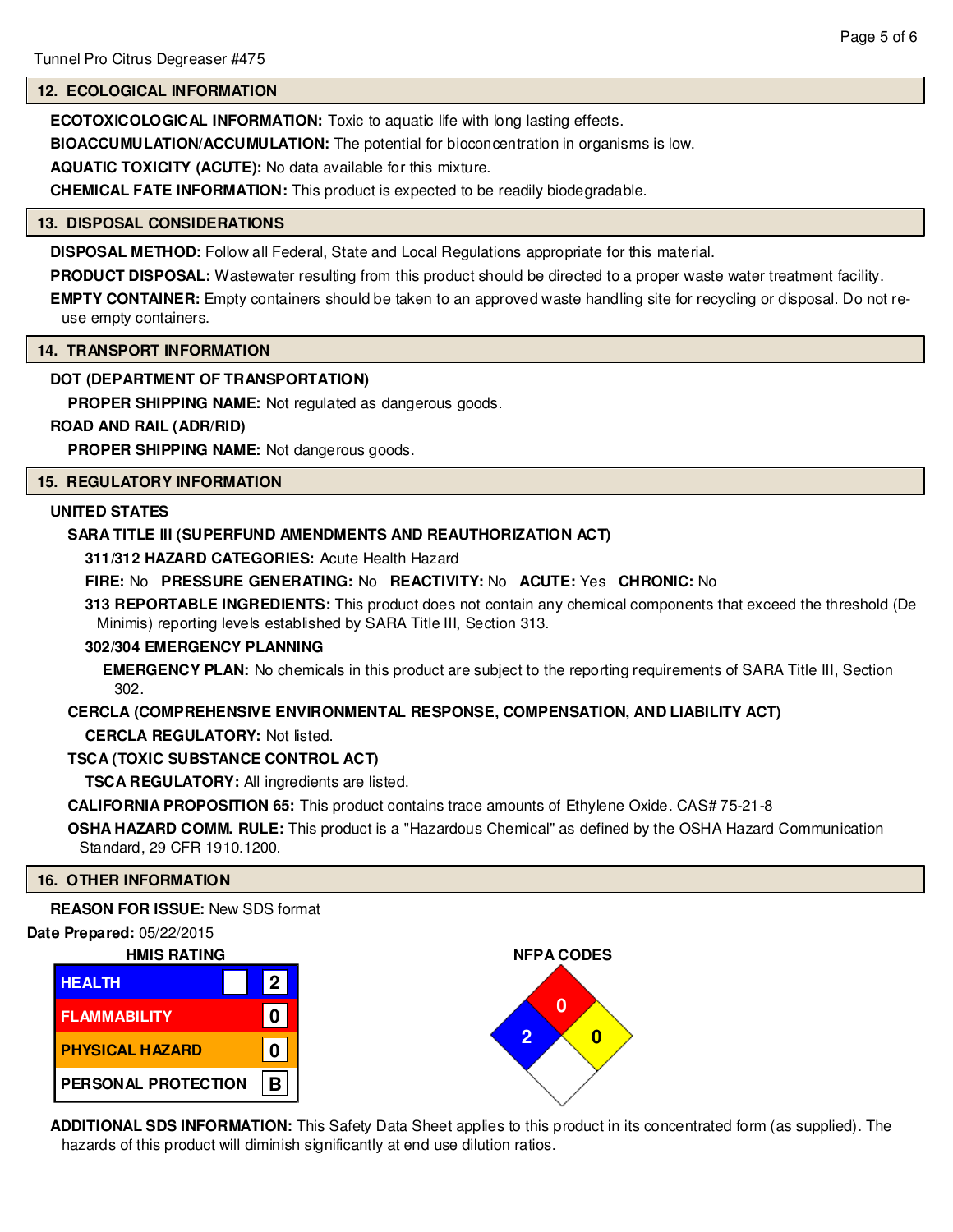# **12. ECOLOGICAL INFORMATION**

**ECOTOXICOLOGICAL INFORMATION:** Toxic to aquatic life with long lasting effects.

**BIOACCUMULATION/ACCUMULATION:** The potential for bioconcentration in organisms is low.

**AQUATIC TOXICITY (ACUTE):** No data available for this mixture.

**CHEMICAL FATE INFORMATION:** This product is expected to be readily biodegradable.

#### **13. DISPOSAL CONSIDERATIONS**

**DISPOSAL METHOD:** Follow all Federal, State and Local Regulations appropriate for this material.

**PRODUCT DISPOSAL:** Wastewater resulting from this product should be directed to a proper waste water treatment facility.

**EMPTY CONTAINER:** Empty containers should be taken to an approved waste handling site for recycling or disposal. Do not reuse empty containers.

# **14. TRANSPORT INFORMATION**

# **DOT (DEPARTMENT OF TRANSPORTATION)**

**PROPER SHIPPING NAME:** Not regulated as dangerous goods.

# **ROAD AND RAIL (ADR/RID)**

**PROPER SHIPPING NAME:** Not dangerous goods.

# **15. REGULATORY INFORMATION**

# **UNITED STATES**

# **SARA TITLE III (SUPERFUND AMENDMENTS AND REAUTHORIZATION ACT)**

**311/312 HAZARD CATEGORIES:** Acute Health Hazard

# **FIRE:** No **PRESSURE GENERATING:** No **REACTIVITY:** No **ACUTE:** Yes **CHRONIC:** No

**313 REPORTABLE INGREDIENTS:** This product does not contain any chemical components that exceed the threshold (De Minimis) reporting levels established by SARA Title III, Section 313.

#### **302/304 EMERGENCY PLANNING**

**EMERGENCY PLAN:** No chemicals in this product are subject to the reporting requirements of SARA Title III, Section 302.

# **CERCLA (COMPREHENSIVE ENVIRONMENTAL RESPONSE, COMPENSATION, AND LIABILITY ACT)**

**CERCLA REGULATORY:** Not listed.

# **TSCA (TOXIC SUBSTANCE CONTROL ACT)**

**TSCA REGULATORY:** All ingredients are listed.

**CALIFORNIA PROPOSITION 65:** This product contains trace amounts of Ethylene Oxide. CAS# 75-21-8

**OSHA HAZARD COMM. RULE:** This product is a "Hazardous Chemical" as defined by the OSHA Hazard Communication Standard, 29 CFR 1910.1200.

#### **16. OTHER INFORMATION**

#### **REASON FOR ISSUE:** New SDS format





**ADDITIONAL SDS INFORMATION:** This Safety Data Sheet applies to this product in its concentrated form (as supplied). The hazards of this product will diminish significantly at end use dilution ratios.